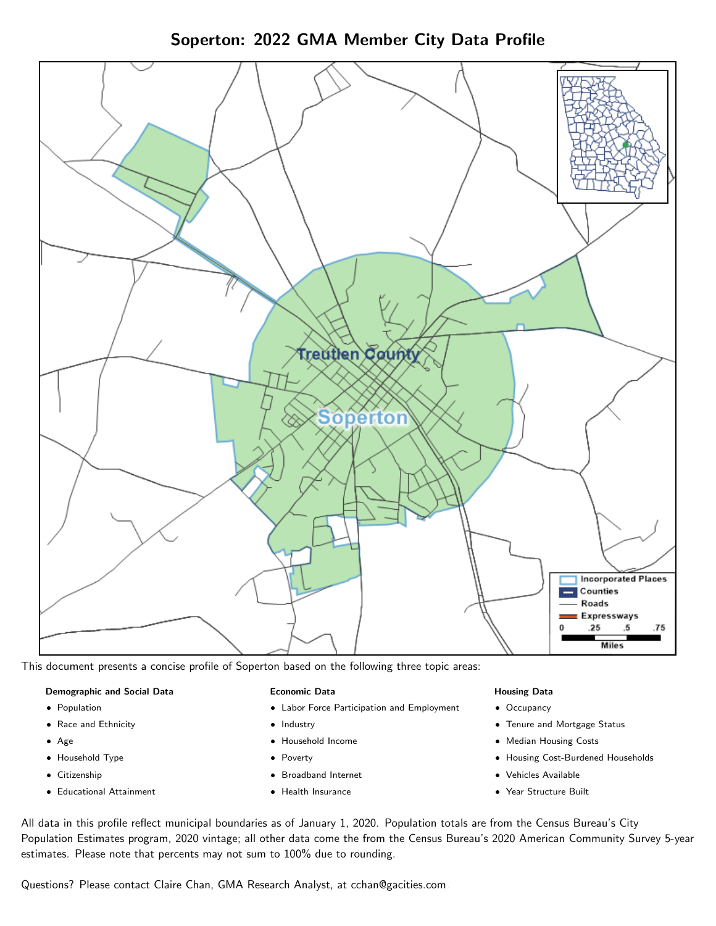Soperton: 2022 GMA Member City Data Profile



This document presents a concise profile of Soperton based on the following three topic areas:

#### Demographic and Social Data

- **•** Population
- Race and Ethnicity
- Age
- Household Type
- **Citizenship**
- Educational Attainment

#### Economic Data

- Labor Force Participation and Employment
- Industry
- Household Income
- Poverty
- Broadband Internet
- Health Insurance

#### Housing Data

- Occupancy
- Tenure and Mortgage Status
- Median Housing Costs
- Housing Cost-Burdened Households
- Vehicles Available
- Year Structure Built

All data in this profile reflect municipal boundaries as of January 1, 2020. Population totals are from the Census Bureau's City Population Estimates program, 2020 vintage; all other data come the from the Census Bureau's 2020 American Community Survey 5-year estimates. Please note that percents may not sum to 100% due to rounding.

Questions? Please contact Claire Chan, GMA Research Analyst, at [cchan@gacities.com.](mailto:cchan@gacities.com)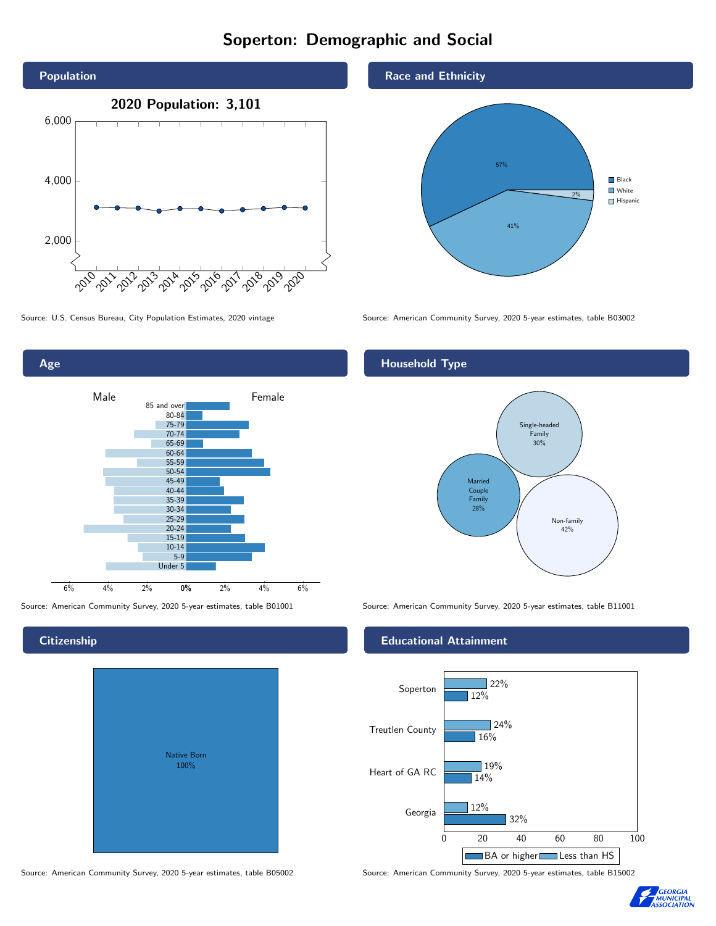# Soperton: Demographic and Social





Source: American Community Survey, 2020 5-year estimates, table B01001 Source: American Community Survey, 2020 5-year estimates, table B11001

# **Citizenship**

| <b>Native Born</b><br>100% |  |
|----------------------------|--|

Race and Ethnicity



Source: U.S. Census Bureau, City Population Estimates, 2020 vintage Source: American Community Survey, 2020 5-year estimates, table B03002

# Household Type



### Educational Attainment



Source: American Community Survey, 2020 5-year estimates, table B05002 Source: American Community Survey, 2020 5-year estimates, table B15002

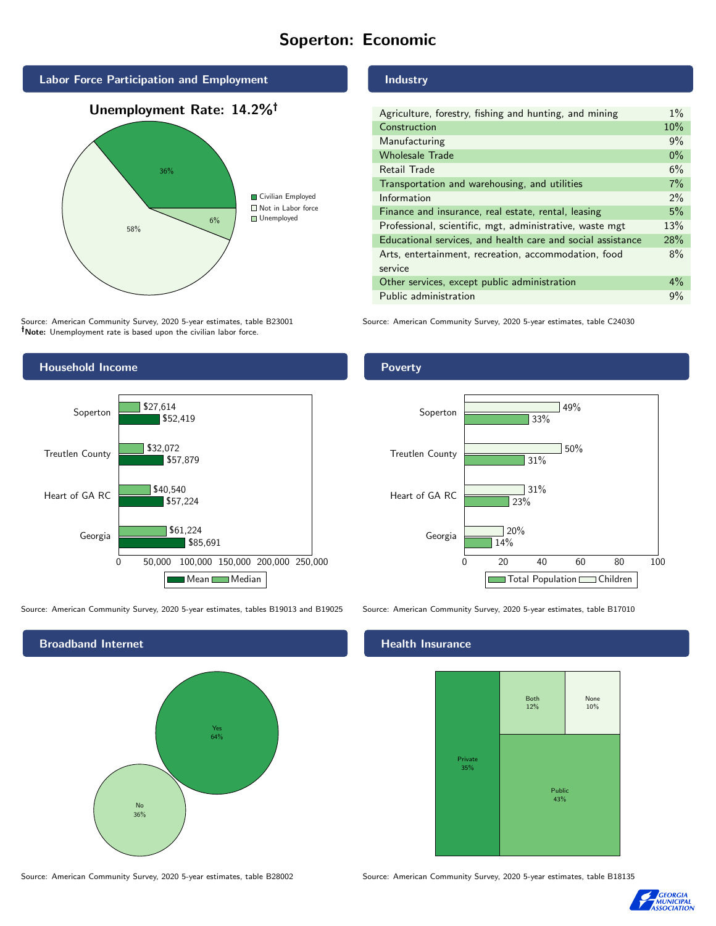# Soperton: Economic



Source: American Community Survey, 2020 5-year estimates, table B23001 Note: Unemployment rate is based upon the civilian labor force.

# Agriculture, forestry, fishing and hunting, and mining  $\frac{10}{4}$

Industry

| Agriculture, forestry, itsning and numbers, and mining      |       |
|-------------------------------------------------------------|-------|
| Construction                                                | 10%   |
| Manufacturing                                               | 9%    |
| <b>Wholesale Trade</b>                                      | $0\%$ |
| Retail Trade                                                | 6%    |
| Transportation and warehousing, and utilities               |       |
| Information                                                 | $2\%$ |
| Finance and insurance, real estate, rental, leasing         |       |
| Professional, scientific, mgt, administrative, waste mgt    |       |
| Educational services, and health care and social assistance |       |
| Arts, entertainment, recreation, accommodation, food        |       |
| service                                                     |       |
| Other services, except public administration                |       |
| Public administration                                       |       |

Source: American Community Survey, 2020 5-year estimates, table C24030



Source: American Community Survey, 2020 5-year estimates, tables B19013 and B19025 Source: American Community Survey, 2020 5-year estimates, table B17010

Broadband Internet No 36% Yes 64%

#### Health Insurance



Source: American Community Survey, 2020 5-year estimates, table B28002 Source: American Community Survey, 2020 5-year estimates, table B18135



### Poverty